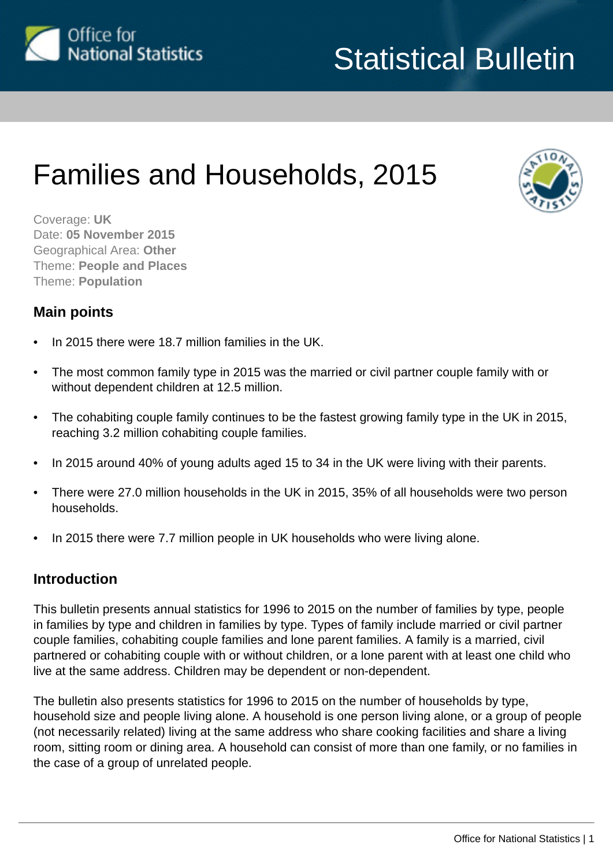

# Statistical Bulletin

# Families and Households, 2015



Coverage: **UK** Date: **05 November 2015** Geographical Area: **Other** Theme: **People and Places** Theme: **Population**

## **Main points**

- In 2015 there were 18.7 million families in the UK.
- The most common family type in 2015 was the married or civil partner couple family with or without dependent children at 12.5 million.
- The cohabiting couple family continues to be the fastest growing family type in the UK in 2015, reaching 3.2 million cohabiting couple families.
- In 2015 around 40% of young adults aged 15 to 34 in the UK were living with their parents.
- There were 27.0 million households in the UK in 2015, 35% of all households were two person households.
- In 2015 there were 7.7 million people in UK households who were living alone.

# **Introduction**

This bulletin presents annual statistics for 1996 to 2015 on the number of families by type, people in families by type and children in families by type. Types of family include married or civil partner couple families, cohabiting couple families and lone parent families. A family is a married, civil partnered or cohabiting couple with or without children, or a lone parent with at least one child who live at the same address. Children may be dependent or non-dependent.

The bulletin also presents statistics for 1996 to 2015 on the number of households by type, household size and people living alone. A household is one person living alone, or a group of people (not necessarily related) living at the same address who share cooking facilities and share a living room, sitting room or dining area. A household can consist of more than one family, or no families in the case of a group of unrelated people.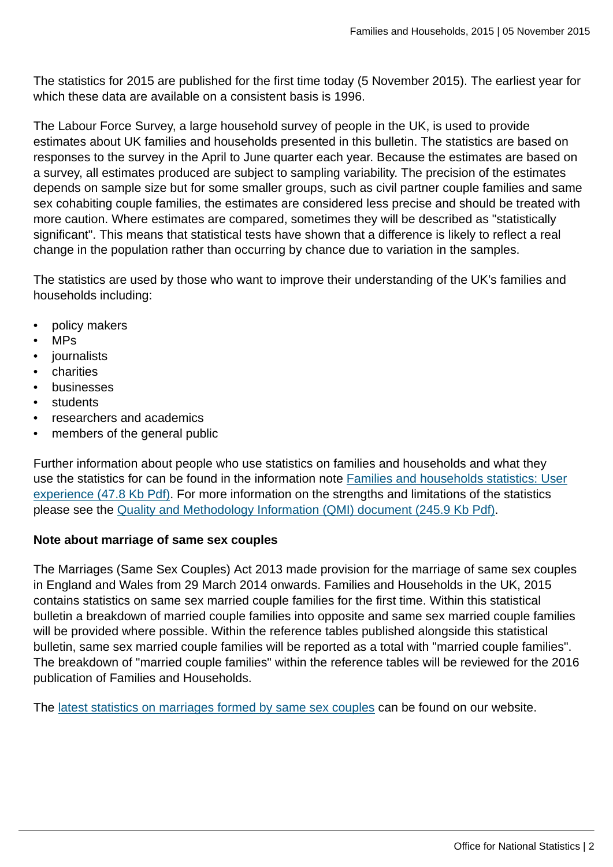The statistics for 2015 are published for the first time today (5 November 2015). The earliest year for which these data are available on a consistent basis is 1996.

The Labour Force Survey, a large household survey of people in the UK, is used to provide estimates about UK families and households presented in this bulletin. The statistics are based on responses to the survey in the April to June quarter each year. Because the estimates are based on a survey, all estimates produced are subject to sampling variability. The precision of the estimates depends on sample size but for some smaller groups, such as civil partner couple families and same sex cohabiting couple families, the estimates are considered less precise and should be treated with more caution. Where estimates are compared, sometimes they will be described as "statistically significant". This means that statistical tests have shown that a difference is likely to reflect a real change in the population rather than occurring by chance due to variation in the samples.

The statistics are used by those who want to improve their understanding of the UK's families and households including:

- policy makers
- MPs
- journalists
- charities
- businesses
- students
- researchers and academics
- members of the general public

Further information about people who use statistics on families and households and what they use the statistics for can be found in the information note [Families and households statistics: User](http://www.ons.gov.uk:80/ons/rel/family-demography/families-and-households/2001-to-2010/user-experience.pdf) [experience \(47.8 Kb Pdf\)](http://www.ons.gov.uk:80/ons/rel/family-demography/families-and-households/2001-to-2010/user-experience.pdf). For more information on the strengths and limitations of the statistics please see the [Quality and Methodology Information \(QMI\) document \(245.9 Kb Pdf\)](http://www.ons.gov.uk:80/ons/guide-method/method-quality/quality/quality-information/population/summary-quality-report-for-families-and-households.pdf).

#### **Note about marriage of same sex couples**

The Marriages (Same Sex Couples) Act 2013 made provision for the marriage of same sex couples in England and Wales from 29 March 2014 onwards. Families and Households in the UK, 2015 contains statistics on same sex married couple families for the first time. Within this statistical bulletin a breakdown of married couple families into opposite and same sex married couple families will be provided where possible. Within the reference tables published alongside this statistical bulletin, same sex married couple families will be reported as a total with "married couple families". The breakdown of "married couple families" within the reference tables will be reviewed for the 2016 publication of Families and Households.

The [latest statistics on marriages formed by same sex couples](http://www.ons.gov.uk:80/ons/rel/vsob1/marriages-in-england-and-wales--provisional-/index.html) can be found on our website.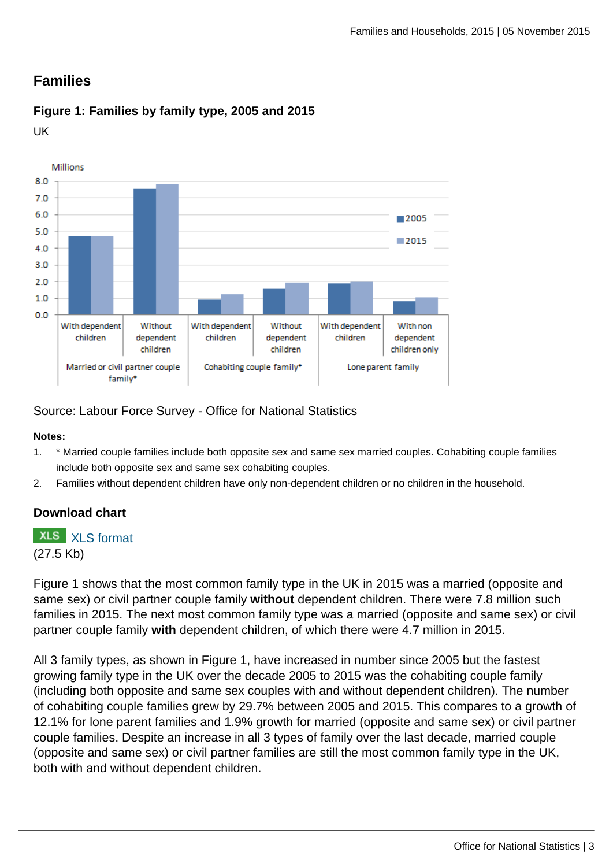# **Families**

## **Figure 1: Families by family type, 2005 and 2015**

UK



Source: Labour Force Survey - Office for National Statistics

#### **Notes:**

- 1. \* Married couple families include both opposite sex and same sex married couples. Cohabiting couple families include both opposite sex and same sex cohabiting couples.
- 2. Families without dependent children have only non-dependent children or no children in the household.

## **Download chart**

# **XLS** [XLS format](http://www.ons.gov.uk:80/ons/rel/family-demography/families-and-households/2015/chd-1.xls)

(27.5 Kb)

Figure 1 shows that the most common family type in the UK in 2015 was a married (opposite and same sex) or civil partner couple family **without** dependent children. There were 7.8 million such families in 2015. The next most common family type was a married (opposite and same sex) or civil partner couple family **with** dependent children, of which there were 4.7 million in 2015.

All 3 family types, as shown in Figure 1, have increased in number since 2005 but the fastest growing family type in the UK over the decade 2005 to 2015 was the cohabiting couple family (including both opposite and same sex couples with and without dependent children). The number of cohabiting couple families grew by 29.7% between 2005 and 2015. This compares to a growth of 12.1% for lone parent families and 1.9% growth for married (opposite and same sex) or civil partner couple families. Despite an increase in all 3 types of family over the last decade, married couple (opposite and same sex) or civil partner families are still the most common family type in the UK, both with and without dependent children.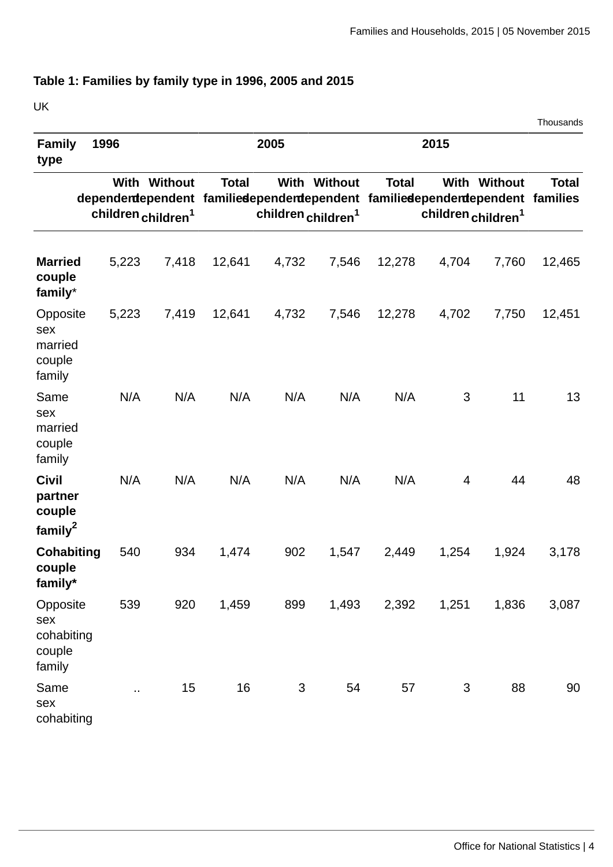# **Table 1: Families by family type in 1996, 2005 and 2015**

| UK<br>Thousands                                          |       |                                                       |              |                                                                                                                |              |              |                                |                     |              |
|----------------------------------------------------------|-------|-------------------------------------------------------|--------------|----------------------------------------------------------------------------------------------------------------|--------------|--------------|--------------------------------|---------------------|--------------|
| <b>Family</b><br>type                                    | 1996  |                                                       |              | 2005                                                                                                           |              | 2015         |                                |                     |              |
|                                                          |       | <b>With Without</b><br>children children <sup>1</sup> | <b>Total</b> | dependentependent familiedependentependent familiedependentependent families<br>children children <sup>1</sup> | With Without | <b>Total</b> | children children <sup>1</sup> | <b>With Without</b> | <b>Total</b> |
| <b>Married</b><br>couple<br>family*                      | 5,223 | 7,418                                                 | 12,641       | 4,732                                                                                                          | 7,546        | 12,278       | 4,704                          | 7,760               | 12,465       |
| Opposite<br>sex<br>married<br>couple<br>family           | 5,223 | 7,419                                                 | 12,641       | 4,732                                                                                                          | 7,546        | 12,278       | 4,702                          | 7,750               | 12,451       |
| Same<br>sex<br>married<br>couple<br>family               | N/A   | N/A                                                   | N/A          | N/A                                                                                                            | N/A          | N/A          | 3                              | 11                  | 13           |
| <b>Civil</b><br>partner<br>couple<br>family <sup>2</sup> | N/A   | N/A                                                   | N/A          | N/A                                                                                                            | N/A          | N/A          | 4                              | 44                  | 48           |
| Cohabiting<br>couple<br>family*                          | 540   | 934                                                   | 1,474        | 902                                                                                                            | 1,547        | 2,449        | 1,254                          | 1,924               | 3,178        |
| Opposite<br>sex<br>cohabiting<br>couple<br>family        | 539   | 920                                                   | 1,459        | 899                                                                                                            | 1,493        | 2,392        | 1,251                          | 1,836               | 3,087        |
| Same<br>sex<br>cohabiting                                | Ω,    | 15                                                    | 16           | 3                                                                                                              | 54           | 57           | 3                              | 88                  | 90           |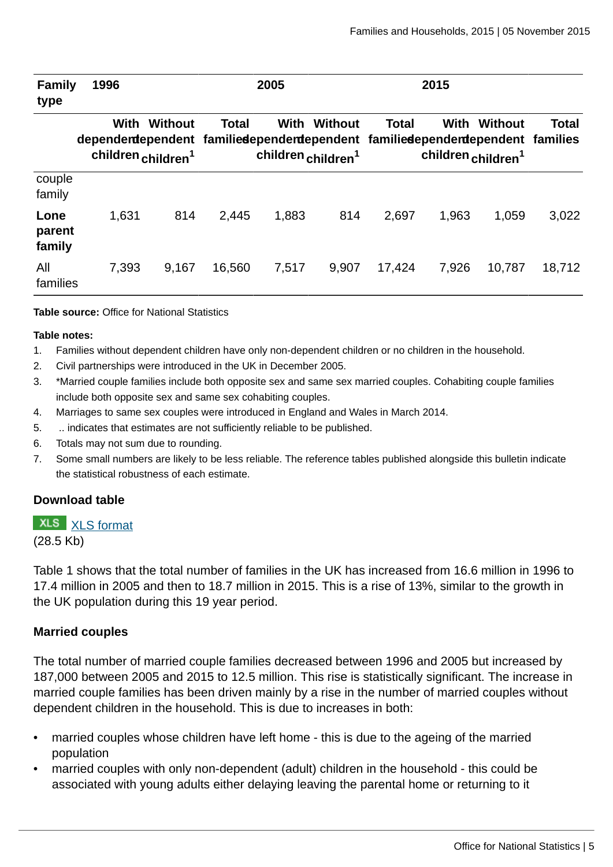| Family<br>type           | 1996                                                                                   |                                           | 2005   |                                        |                | 2015         |                                        |         |              |
|--------------------------|----------------------------------------------------------------------------------------|-------------------------------------------|--------|----------------------------------------|----------------|--------------|----------------------------------------|---------|--------------|
|                          | With<br>dependentependent familiedependent ependent familiedependent ependent families | Without<br>children children <sup>1</sup> | Total  | With<br>children children <sup>1</sup> | <b>Without</b> | <b>Total</b> | With<br>children children <sup>1</sup> | Without | <b>Total</b> |
| couple<br>family         |                                                                                        |                                           |        |                                        |                |              |                                        |         |              |
| Lone<br>parent<br>family | 1,631                                                                                  | 814                                       | 2,445  | 1,883                                  | 814            | 2,697        | 1,963                                  | 1,059   | 3,022        |
| All<br>families          | 7,393                                                                                  | 9,167                                     | 16,560 | 7,517                                  | 9,907          | 17,424       | 7,926                                  | 10,787  | 18,712       |

#### **Table source:** Office for National Statistics

#### **Table notes:**

- 1. Families without dependent children have only non-dependent children or no children in the household.
- 2. Civil partnerships were introduced in the UK in December 2005.
- 3. \*Married couple families include both opposite sex and same sex married couples. Cohabiting couple families include both opposite sex and same sex cohabiting couples.
- 4. Marriages to same sex couples were introduced in England and Wales in March 2014.
- 5. .. indicates that estimates are not sufficiently reliable to be published.
- 6. Totals may not sum due to rounding.
- 7. Some small numbers are likely to be less reliable. The reference tables published alongside this bulletin indicate the statistical robustness of each estimate.

#### **Download table**

#### **XLS** [XLS format](http://www.ons.gov.uk:80/ons/rel/family-demography/families-and-households/2015/prt-1.xls)

(28.5 Kb)

Table 1 shows that the total number of families in the UK has increased from 16.6 million in 1996 to 17.4 million in 2005 and then to 18.7 million in 2015. This is a rise of 13%, similar to the growth in the UK population during this 19 year period.

#### **Married couples**

The total number of married couple families decreased between 1996 and 2005 but increased by 187,000 between 2005 and 2015 to 12.5 million. This rise is statistically significant. The increase in married couple families has been driven mainly by a rise in the number of married couples without dependent children in the household. This is due to increases in both:

- married couples whose children have left home this is due to the ageing of the married population
- married couples with only non-dependent (adult) children in the household this could be associated with young adults either delaying leaving the parental home or returning to it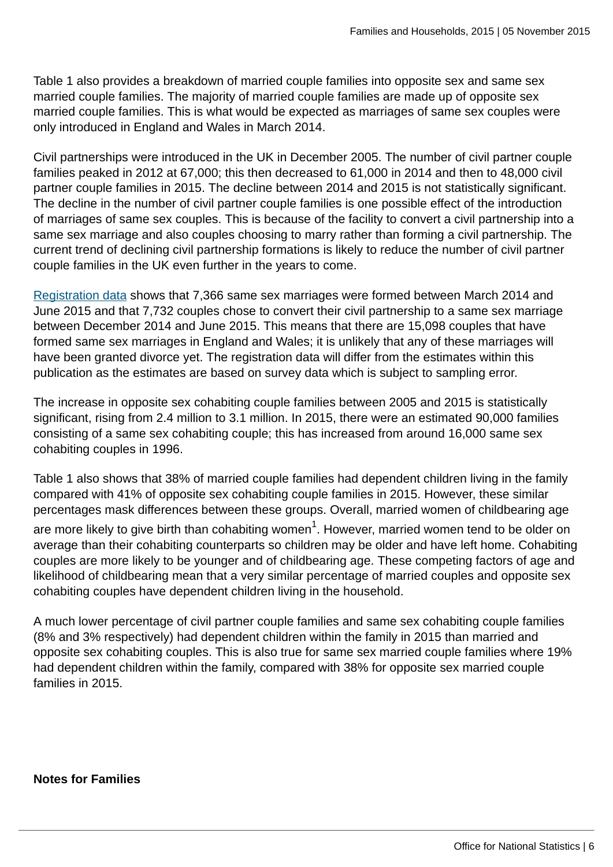Table 1 also provides a breakdown of married couple families into opposite sex and same sex married couple families. The majority of married couple families are made up of opposite sex married couple families. This is what would be expected as marriages of same sex couples were only introduced in England and Wales in March 2014.

Civil partnerships were introduced in the UK in December 2005. The number of civil partner couple families peaked in 2012 at 67,000; this then decreased to 61,000 in 2014 and then to 48,000 civil partner couple families in 2015. The decline between 2014 and 2015 is not statistically significant. The decline in the number of civil partner couple families is one possible effect of the introduction of marriages of same sex couples. This is because of the facility to convert a civil partnership into a same sex marriage and also couples choosing to marry rather than forming a civil partnership. The current trend of declining civil partnership formations is likely to reduce the number of civil partner couple families in the UK even further in the years to come.

[Registration data](http://www.ons.gov.uk:80/ons/rel/vsob1/marriages-in-england-and-wales--provisional-/for-same-sex-couples--2014/index.html) shows that 7,366 same sex marriages were formed between March 2014 and June 2015 and that 7,732 couples chose to convert their civil partnership to a same sex marriage between December 2014 and June 2015. This means that there are 15,098 couples that have formed same sex marriages in England and Wales; it is unlikely that any of these marriages will have been granted divorce yet. The registration data will differ from the estimates within this publication as the estimates are based on survey data which is subject to sampling error.

The increase in opposite sex cohabiting couple families between 2005 and 2015 is statistically significant, rising from 2.4 million to 3.1 million. In 2015, there were an estimated 90,000 families consisting of a same sex cohabiting couple; this has increased from around 16,000 same sex cohabiting couples in 1996.

Table 1 also shows that 38% of married couple families had dependent children living in the family compared with 41% of opposite sex cohabiting couple families in 2015. However, these similar percentages mask differences between these groups. Overall, married women of childbearing age

are more likely to give birth than cohabiting women $^1\!$ . However, married women tend to be older on average than their cohabiting counterparts so children may be older and have left home. Cohabiting couples are more likely to be younger and of childbearing age. These competing factors of age and likelihood of childbearing mean that a very similar percentage of married couples and opposite sex cohabiting couples have dependent children living in the household.

A much lower percentage of civil partner couple families and same sex cohabiting couple families (8% and 3% respectively) had dependent children within the family in 2015 than married and opposite sex cohabiting couples. This is also true for same sex married couple families where 19% had dependent children within the family, compared with 38% for opposite sex married couple families in 2015.

**Notes for Families**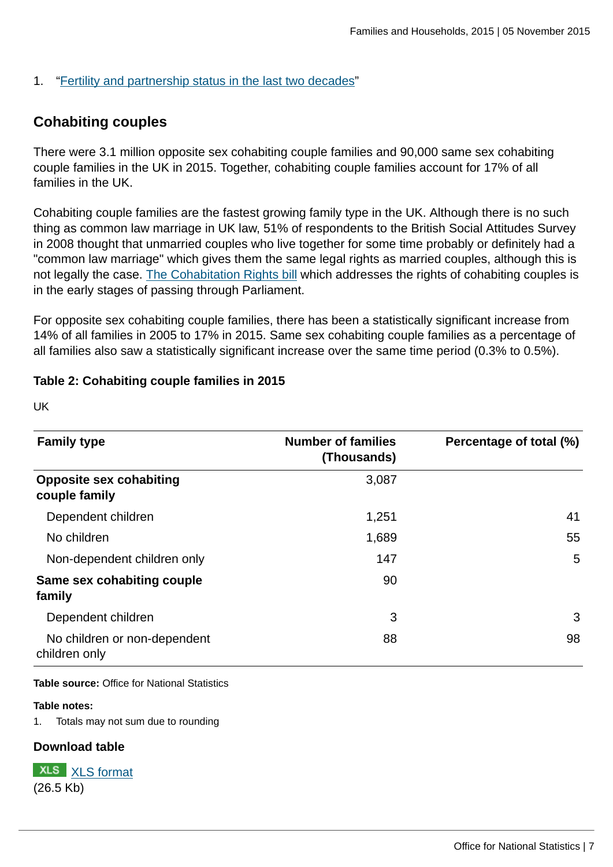## 1. ["Fertility and partnership status in the last two decades](http://www.ons.gov.uk:80/ons/rel/population-trends-rd/population-trends/no--140--summer-2010/index.html)"

# **Cohabiting couples**

There were 3.1 million opposite sex cohabiting couple families and 90,000 same sex cohabiting couple families in the UK in 2015. Together, cohabiting couple families account for 17% of all families in the UK.

Cohabiting couple families are the fastest growing family type in the UK. Although there is no such thing as common law marriage in UK law, 51% of respondents to the British Social Attitudes Survey in 2008 thought that unmarried couples who live together for some time probably or definitely had a "common law marriage" which gives them the same legal rights as married couples, although this is not legally the case. [The Cohabitation Rights bill](http://services.parliament.uk/bills/2015-16/cohabitationrights.html) which addresses the rights of cohabiting couples is in the early stages of passing through Parliament.

For opposite sex cohabiting couple families, there has been a statistically significant increase from 14% of all families in 2005 to 17% in 2015. Same sex cohabiting couple families as a percentage of all families also saw a statistically significant increase over the same time period (0.3% to 0.5%).

#### **Table 2: Cohabiting couple families in 2015**

UK

| <b>Family type</b>                              | <b>Number of families</b><br>(Thousands) | Percentage of total (%) |  |
|-------------------------------------------------|------------------------------------------|-------------------------|--|
| <b>Opposite sex cohabiting</b><br>couple family | 3,087                                    |                         |  |
| Dependent children                              | 1,251                                    | 41                      |  |
| No children                                     | 1,689                                    | 55                      |  |
| Non-dependent children only                     | 147                                      | 5                       |  |
| Same sex cohabiting couple<br>family            | 90                                       |                         |  |
| Dependent children                              | 3                                        | 3                       |  |
| No children or non-dependent<br>children only   | 88                                       | 98                      |  |

**Table source:** Office for National Statistics

#### **Table notes:**

1. Totals may not sum due to rounding

#### **Download table**

**XLS** [XLS format](http://www.ons.gov.uk:80/ons/rel/family-demography/families-and-households/2015/prt-2.xls) (26.5 Kb)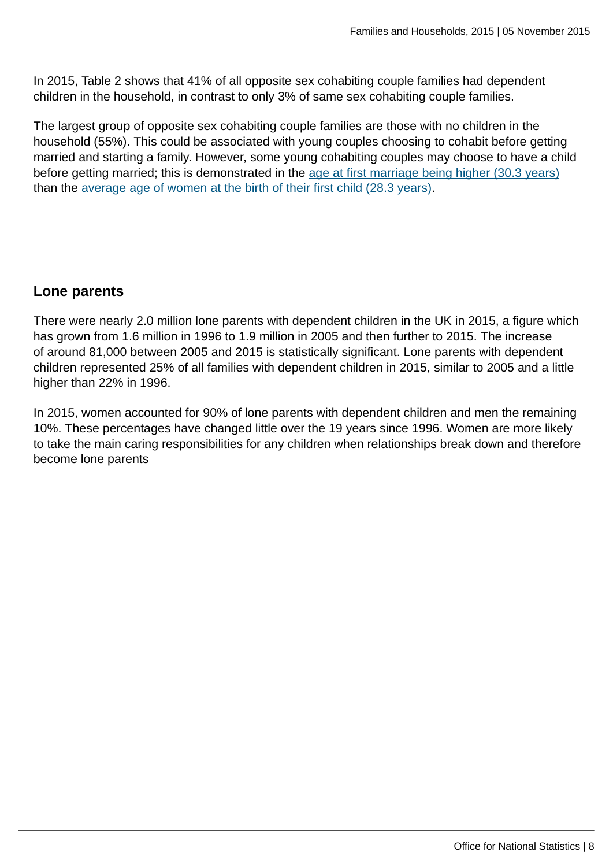In 2015, Table 2 shows that 41% of all opposite sex cohabiting couple families had dependent children in the household, in contrast to only 3% of same sex cohabiting couple families.

The largest group of opposite sex cohabiting couple families are those with no children in the household (55%). This could be associated with young couples choosing to cohabit before getting married and starting a family. However, some young cohabiting couples may choose to have a child before getting married; this is demonstrated in the [age at first marriage being higher \(30.3 years\)](http://www.ons.gov.uk:80/ons/rel/vsob1/marriages-in-england-and-wales--provisional-/2012/stb-marriages-in-england-and-wales--provisional---2011.html) than the [average age of women at the birth of their first child \(28.3 years\).](http://www.ons.gov.uk:80/ons/rel/vsob1/characteristics-of-Mother-1--england-and-wales/2013/stb-characteristics-of-mother-1--2013.html)

# **Lone parents**

There were nearly 2.0 million lone parents with dependent children in the UK in 2015, a figure which has grown from 1.6 million in 1996 to 1.9 million in 2005 and then further to 2015. The increase of around 81,000 between 2005 and 2015 is statistically significant. Lone parents with dependent children represented 25% of all families with dependent children in 2015, similar to 2005 and a little higher than 22% in 1996.

In 2015, women accounted for 90% of lone parents with dependent children and men the remaining 10%. These percentages have changed little over the 19 years since 1996. Women are more likely to take the main caring responsibilities for any children when relationships break down and therefore become lone parents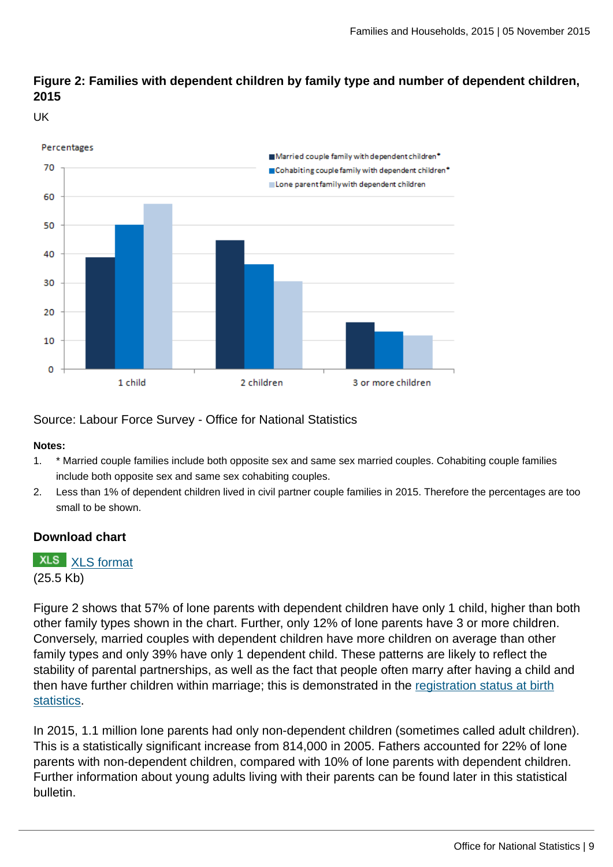## **Figure 2: Families with dependent children by family type and number of dependent children, 2015**

UK



Source: Labour Force Survey - Office for National Statistics

#### **Notes:**

- 1. \* Married couple families include both opposite sex and same sex married couples. Cohabiting couple families include both opposite sex and same sex cohabiting couples.
- 2. Less than 1% of dependent children lived in civil partner couple families in 2015. Therefore the percentages are too small to be shown.

## **Download chart**

**XLS** [XLS format](http://www.ons.gov.uk:80/ons/rel/family-demography/families-and-households/2015/chd-2.xls) (25.5 Kb)

Figure 2 shows that 57% of lone parents with dependent children have only 1 child, higher than both other family types shown in the chart. Further, only 12% of lone parents have 3 or more children. Conversely, married couples with dependent children have more children on average than other family types and only 39% have only 1 dependent child. These patterns are likely to reflect the stability of parental partnerships, as well as the fact that people often marry after having a child and then have further children within marriage; this is demonstrated in the [registration status at birth](http://www.ons.gov.uk:80/ons/rel/vsob1/characteristics-of-Mother-1--england-and-wales/2013/art---childbearing-by-registration-status.html) [statistics](http://www.ons.gov.uk:80/ons/rel/vsob1/characteristics-of-Mother-1--england-and-wales/2013/art---childbearing-by-registration-status.html).

In 2015, 1.1 million lone parents had only non-dependent children (sometimes called adult children). This is a statistically significant increase from 814,000 in 2005. Fathers accounted for 22% of lone parents with non-dependent children, compared with 10% of lone parents with dependent children. Further information about young adults living with their parents can be found later in this statistical bulletin.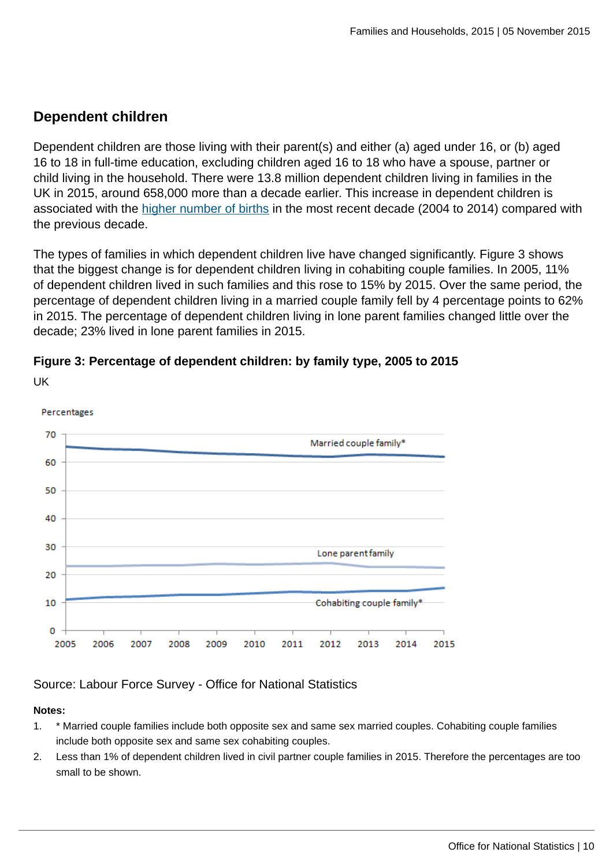# **Dependent children**

Dependent children are those living with their parent(s) and either (a) aged under 16, or (b) aged 16 to 18 in full-time education, excluding children aged 16 to 18 who have a spouse, partner or child living in the household. There were 13.8 million dependent children living in families in the UK in 2015, around 658,000 more than a decade earlier. This increase in dependent children is associated with the [higher number of births](http://www.ons.gov.uk:80/ons/rel/vsob1/birth-summary-tables--england-and-wales/index.html) in the most recent decade (2004 to 2014) compared with the previous decade.

The types of families in which dependent children live have changed significantly. Figure 3 shows that the biggest change is for dependent children living in cohabiting couple families. In 2005, 11% of dependent children lived in such families and this rose to 15% by 2015. Over the same period, the percentage of dependent children living in a married couple family fell by 4 percentage points to 62% in 2015. The percentage of dependent children living in lone parent families changed little over the decade; 23% lived in lone parent families in 2015.



UK

## Source: Labour Force Survey - Office for National Statistics

#### **Notes:**

- 1. \* Married couple families include both opposite sex and same sex married couples. Cohabiting couple families include both opposite sex and same sex cohabiting couples.
- 2. Less than 1% of dependent children lived in civil partner couple families in 2015. Therefore the percentages are too small to be shown.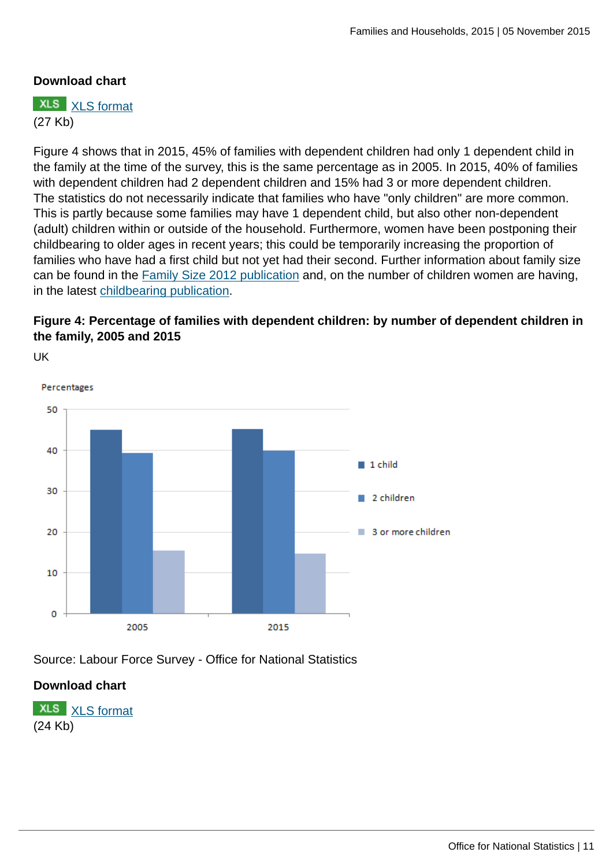## **Download chart**

**XLS** [XLS format](http://www.ons.gov.uk:80/ons/rel/family-demography/families-and-households/2015/chd-3.xls) (27 Kb)

Figure 4 shows that in 2015, 45% of families with dependent children had only 1 dependent child in the family at the time of the survey, this is the same percentage as in 2005. In 2015, 40% of families with dependent children had 2 dependent children and 15% had 3 or more dependent children. The statistics do not necessarily indicate that families who have "only children" are more common. This is partly because some families may have 1 dependent child, but also other non-dependent (adult) children within or outside of the household. Furthermore, women have been postponing their childbearing to older ages in recent years; this could be temporarily increasing the proportion of families who have had a first child but not yet had their second. Further information about family size can be found in the [Family Size 2012 publication](http://www.ons.gov.uk:80/ons/rel/family-demography/family-size/2012/family-size-rpt.html) and, on the number of children women are having, in the latest [childbearing publication](http://www.ons.gov.uk:80/ons/rel/fertility-analysis/childbearing-for-women-born-in-different-years/index.html).

## **Figure 4: Percentage of families with dependent children: by number of dependent children in the family, 2005 and 2015**

UK



Source: Labour Force Survey - Office for National Statistics

## **Download chart**

**XLS** [XLS format](http://www.ons.gov.uk:80/ons/rel/family-demography/families-and-households/2015/chd-4.xls) (24 Kb)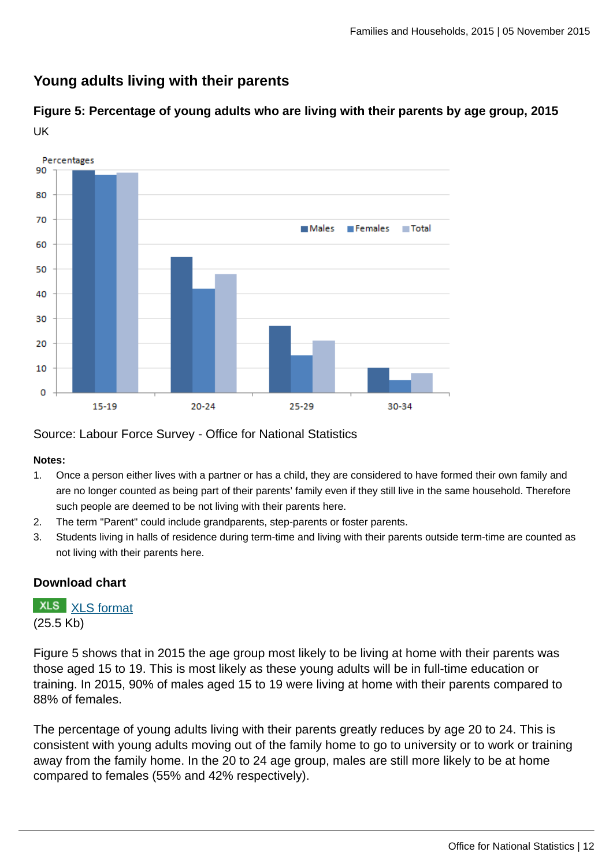## **Young adults living with their parents**

**Figure 5: Percentage of young adults who are living with their parents by age group, 2015** UK



Source: Labour Force Survey - Office for National Statistics

#### **Notes:**

- 1. Once a person either lives with a partner or has a child, they are considered to have formed their own family and are no longer counted as being part of their parents' family even if they still live in the same household. Therefore such people are deemed to be not living with their parents here.
- 2. The term "Parent" could include grandparents, step-parents or foster parents.
- 3. Students living in halls of residence during term-time and living with their parents outside term-time are counted as not living with their parents here.

#### **Download chart**

**XLS** [XLS format](http://www.ons.gov.uk:80/ons/rel/family-demography/families-and-households/2015/chd-5.xls) (25.5 Kb)

Figure 5 shows that in 2015 the age group most likely to be living at home with their parents was those aged 15 to 19. This is most likely as these young adults will be in full-time education or training. In 2015, 90% of males aged 15 to 19 were living at home with their parents compared to 88% of females.

The percentage of young adults living with their parents greatly reduces by age 20 to 24. This is consistent with young adults moving out of the family home to go to university or to work or training away from the family home. In the 20 to 24 age group, males are still more likely to be at home compared to females (55% and 42% respectively).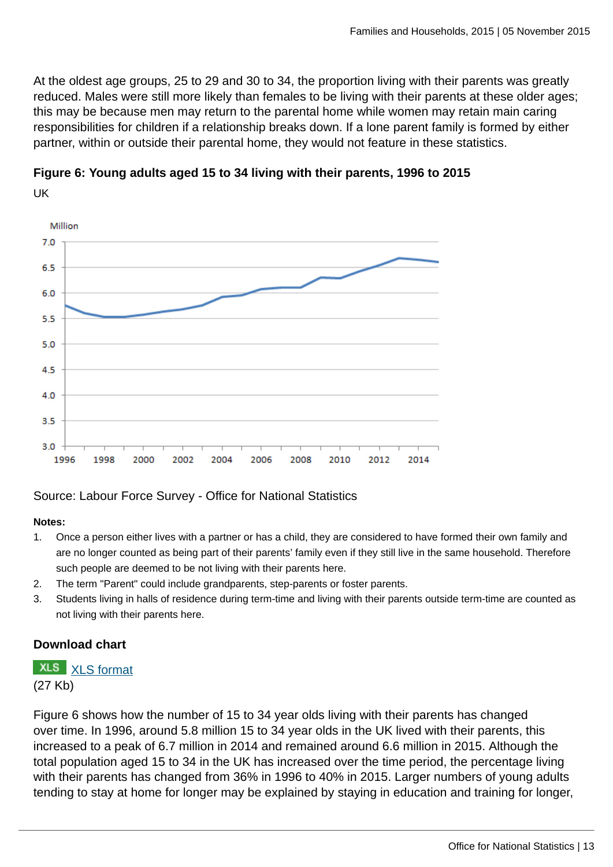At the oldest age groups, 25 to 29 and 30 to 34, the proportion living with their parents was greatly reduced. Males were still more likely than females to be living with their parents at these older ages; this may be because men may return to the parental home while women may retain main caring responsibilities for children if a relationship breaks down. If a lone parent family is formed by either partner, within or outside their parental home, they would not feature in these statistics.



**Figure 6: Young adults aged 15 to 34 living with their parents, 1996 to 2015** UK

Source: Labour Force Survey - Office for National Statistics

#### **Notes:**

- 1. Once a person either lives with a partner or has a child, they are considered to have formed their own family and are no longer counted as being part of their parents' family even if they still live in the same household. Therefore such people are deemed to be not living with their parents here.
- 2. The term "Parent" could include grandparents, step-parents or foster parents.
- 3. Students living in halls of residence during term-time and living with their parents outside term-time are counted as not living with their parents here.

## **Download chart**

# **XLS** [XLS format](http://www.ons.gov.uk:80/ons/rel/family-demography/families-and-households/2015/chd-6.xls)

(27 Kb)

Figure 6 shows how the number of 15 to 34 year olds living with their parents has changed over time. In 1996, around 5.8 million 15 to 34 year olds in the UK lived with their parents, this increased to a peak of 6.7 million in 2014 and remained around 6.6 million in 2015. Although the total population aged 15 to 34 in the UK has increased over the time period, the percentage living with their parents has changed from 36% in 1996 to 40% in 2015. Larger numbers of young adults tending to stay at home for longer may be explained by staying in education and training for longer,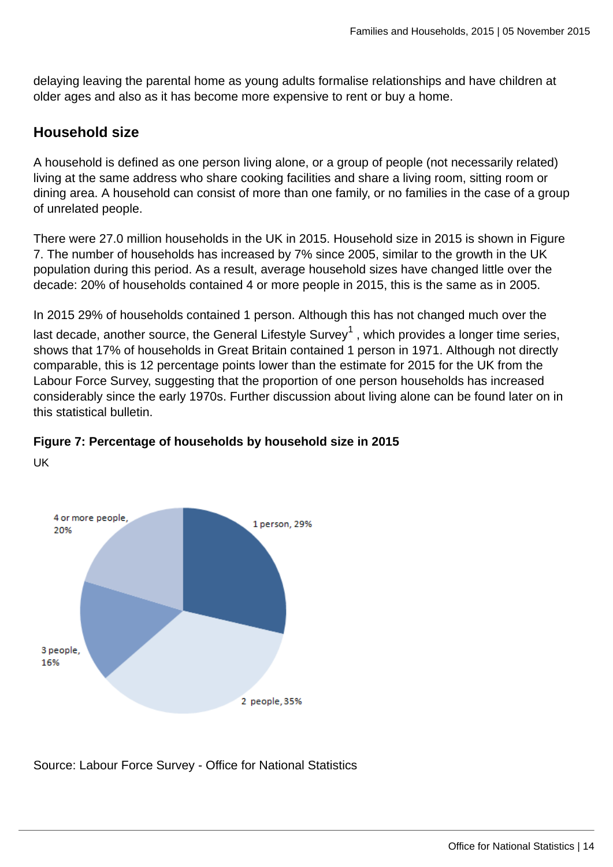delaying leaving the parental home as young adults formalise relationships and have children at older ages and also as it has become more expensive to rent or buy a home.

## **Household size**

A household is defined as one person living alone, or a group of people (not necessarily related) living at the same address who share cooking facilities and share a living room, sitting room or dining area. A household can consist of more than one family, or no families in the case of a group of unrelated people.

There were 27.0 million households in the UK in 2015. Household size in 2015 is shown in Figure 7. The number of households has increased by 7% since 2005, similar to the growth in the UK population during this period. As a result, average household sizes have changed little over the decade: 20% of households contained 4 or more people in 2015, this is the same as in 2005.

In 2015 29% of households contained 1 person. Although this has not changed much over the

last decade, another source, the General Lifestyle Survey $^1$  , which provides a longer time series, shows that 17% of households in Great Britain contained 1 person in 1971. Although not directly comparable, this is 12 percentage points lower than the estimate for 2015 for the UK from the Labour Force Survey, suggesting that the proportion of one person households has increased considerably since the early 1970s. Further discussion about living alone can be found later on in this statistical bulletin.



UK



Source: Labour Force Survey - Office for National Statistics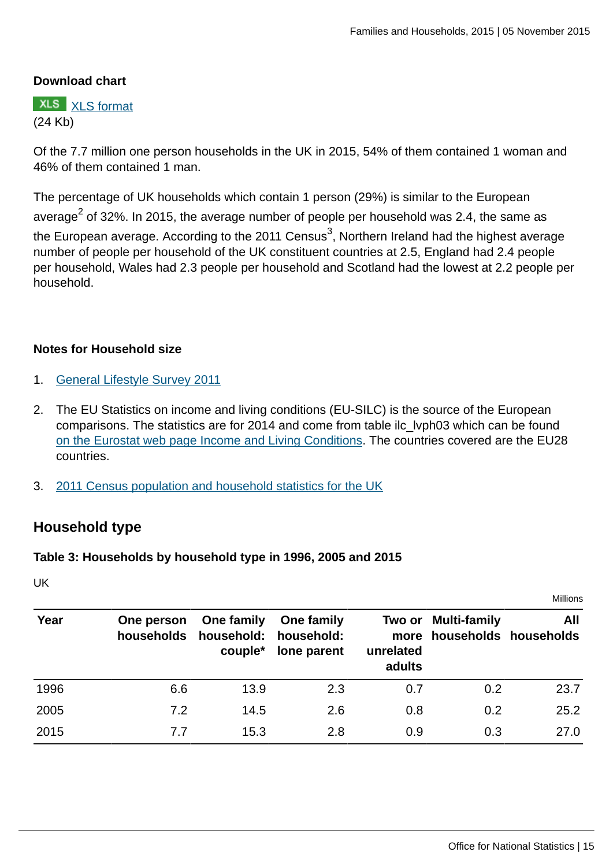## **Download chart**

**XLS** [XLS format](http://www.ons.gov.uk:80/ons/rel/family-demography/families-and-households/2015/chd-7.xls) (24 Kb)

Of the 7.7 million one person households in the UK in 2015, 54% of them contained 1 woman and 46% of them contained 1 man.

The percentage of UK households which contain 1 person (29%) is similar to the European average $^2$  of 32%. In 2015, the average number of people per household was 2.4, the same as the European average. According to the 2011 Census $^3$ , Northern Ireland had the highest average number of people per household of the UK constituent countries at 2.5, England had 2.4 people per household, Wales had 2.3 people per household and Scotland had the lowest at 2.2 people per household.

#### **Notes for Household size**

- 1. [General Lifestyle Survey 2011](http://www.ons.gov.uk:80/ons/rel/ghs/general-lifestyle-survey/2011/index.html)
- 2. The EU Statistics on income and living conditions (EU-SILC) is the source of the European comparisons. The statistics are for 2014 and come from table ilc\_lvph03 which can be found [on the Eurostat web page Income and Living Conditions.](http://ec.europa.eu/eurostat/data/database) The countries covered are the EU28 countries.
- 3. [2011 Census population and household statistics for the UK](http://www.ons.gov.uk:80/ons/rel/census/2011-census/population-estimates-by-five-year-age-bands--and-household-estimates--for-local-authorities-in-the-united-kingdom/index.html)

## **Household type**

#### **Table 3: Households by household type in 1996, 2005 and 2015**

UK

|      |                          |                                                |                           |                     |                                                   | Millions |
|------|--------------------------|------------------------------------------------|---------------------------|---------------------|---------------------------------------------------|----------|
| Year | One person<br>households | One family<br>household: household:<br>couple* | One family<br>lone parent | unrelated<br>adults | Two or Multi-family<br>more households households | All      |
| 1996 | 6.6                      | 13.9                                           | 2.3                       | 0.7                 | 0.2                                               | 23.7     |
| 2005 | 7.2                      | 14.5                                           | 2.6                       | 0.8                 | 0.2                                               | 25.2     |
| 2015 | 7.7                      | 15.3                                           | 2.8                       | 0.9                 | 0.3                                               | 27.0     |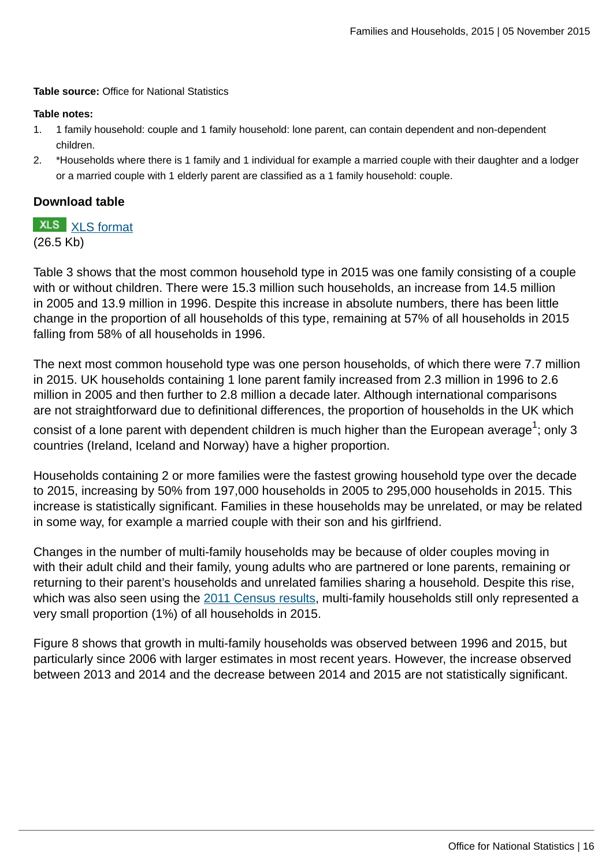**Table source:** Office for National Statistics

#### **Table notes:**

- 1. 1 family household: couple and 1 family household: lone parent, can contain dependent and non-dependent children.
- 2. \*Households where there is 1 family and 1 individual for example a married couple with their daughter and a lodger or a married couple with 1 elderly parent are classified as a 1 family household: couple.

#### **Download table**

**XLS** [XLS format](http://www.ons.gov.uk:80/ons/rel/family-demography/families-and-households/2015/prt-3.xls) (26.5 Kb)

Table 3 shows that the most common household type in 2015 was one family consisting of a couple with or without children. There were 15.3 million such households, an increase from 14.5 million in 2005 and 13.9 million in 1996. Despite this increase in absolute numbers, there has been little change in the proportion of all households of this type, remaining at 57% of all households in 2015 falling from 58% of all households in 1996.

The next most common household type was one person households, of which there were 7.7 million in 2015. UK households containing 1 lone parent family increased from 2.3 million in 1996 to 2.6 million in 2005 and then further to 2.8 million a decade later. Although international comparisons are not straightforward due to definitional differences, the proportion of households in the UK which

consist of a lone parent with dependent children is much higher than the European average $^1$ ; only 3 countries (Ireland, Iceland and Norway) have a higher proportion.

Households containing 2 or more families were the fastest growing household type over the decade to 2015, increasing by 50% from 197,000 households in 2005 to 295,000 households in 2015. This increase is statistically significant. Families in these households may be unrelated, or may be related in some way, for example a married couple with their son and his girlfriend.

Changes in the number of multi-family households may be because of older couples moving in with their adult child and their family, young adults who are partnered or lone parents, remaining or returning to their parent's households and unrelated families sharing a household. Despite this rise, which was also seen using the [2011 Census results](http://www.ons.gov.uk:80/ons/rel/census/2011-census-analysis/what-does-the-2011-census-tell-us-about-concealed-families-living-in-multi-family-households-in-england-and-wales-/index.html), multi-family households still only represented a very small proportion (1%) of all households in 2015.

Figure 8 shows that growth in multi-family households was observed between 1996 and 2015, but particularly since 2006 with larger estimates in most recent years. However, the increase observed between 2013 and 2014 and the decrease between 2014 and 2015 are not statistically significant.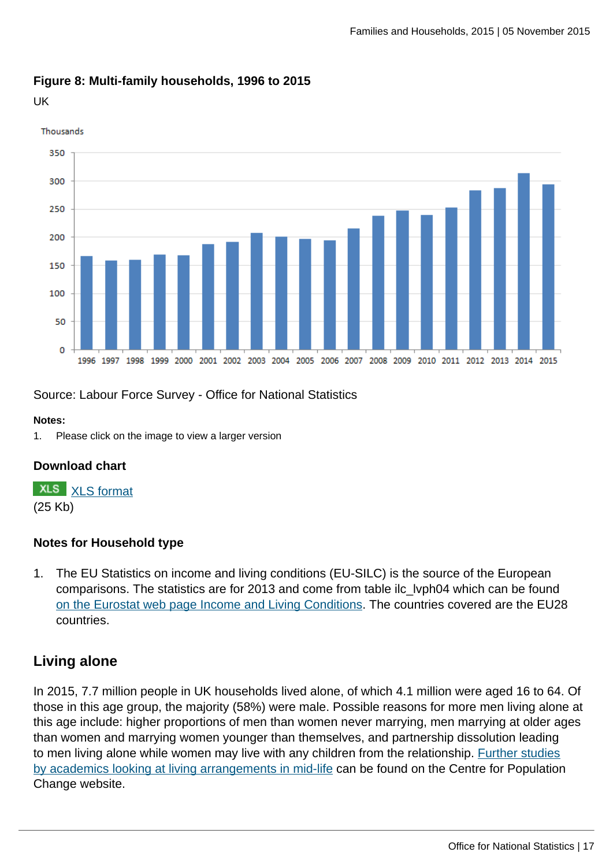#### **Figure 8: Multi-family households, 1996 to 2015**

UK



Source: Labour Force Survey - Office for National Statistics

#### **Notes:**

1. Please click on the image to view a larger version

#### **Download chart**

**XLS** [XLS format](http://www.ons.gov.uk:80/ons/rel/family-demography/families-and-households/2015/chd-8.xls) (25 Kb)

#### **Notes for Household type**

1. The EU Statistics on income and living conditions (EU-SILC) is the source of the European comparisons. The statistics are for 2013 and come from table ilc\_lvph04 which can be found [on the Eurostat web page Income and Living Conditions.](http://ec.europa.eu/eurostat/data/database) The countries covered are the EU28 countries.

# **Living alone**

In 2015, 7.7 million people in UK households lived alone, of which 4.1 million were aged 16 to 64. Of those in this age group, the majority (58%) were male. Possible reasons for more men living alone at this age include: higher proportions of men than women never marrying, men marrying at older ages than women and marrying women younger than themselves, and partnership dissolution leading to men living alone while women may live with any children from the relationship. [Further studies](http://www.cpc.ac.uk/research_programme/?link=Living_Arrangements_in_Mid-Life.php) [by academics looking at living arrangements in mid-life](http://www.cpc.ac.uk/research_programme/?link=Living_Arrangements_in_Mid-Life.php) can be found on the Centre for Population Change website.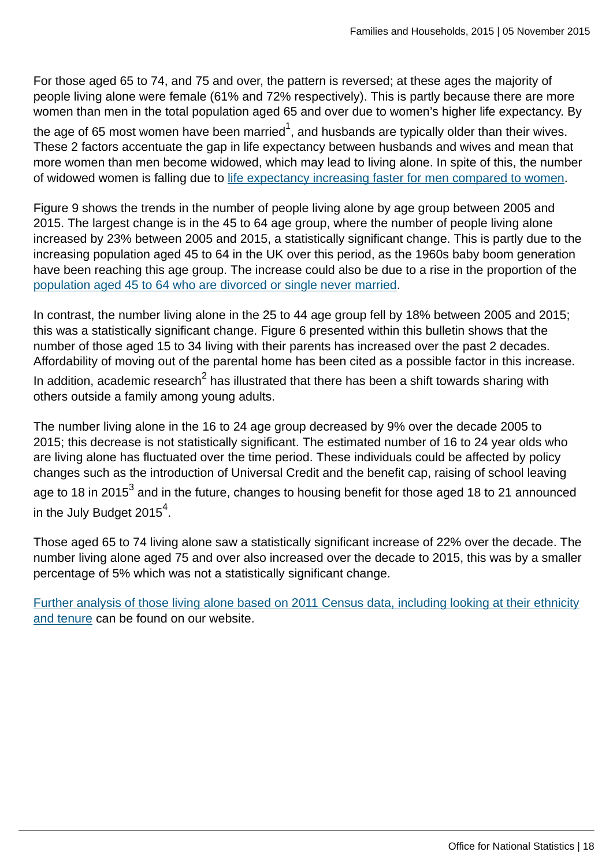For those aged 65 to 74, and 75 and over, the pattern is reversed; at these ages the majority of people living alone were female (61% and 72% respectively). This is partly because there are more women than men in the total population aged 65 and over due to women's higher life expectancy. By

the age of 65 most women have been married $^1$ , and husbands are typically older than their wives. These 2 factors accentuate the gap in life expectancy between husbands and wives and mean that more women than men become widowed, which may lead to living alone. In spite of this, the number of widowed women is falling due to [life expectancy increasing faster for men compared to women.](http://www.ons.gov.uk:80/ons/rel/lifetables/national-life-tables/2012-2014/index.html)

Figure 9 shows the trends in the number of people living alone by age group between 2005 and 2015. The largest change is in the 45 to 64 age group, where the number of people living alone increased by 23% between 2005 and 2015, a statistically significant change. This is partly due to the increasing population aged 45 to 64 in the UK over this period, as the 1960s baby boom generation have been reaching this age group. The increase could also be due to a rise in the proportion of the [population aged 45 to 64 who are divorced or single never married](http://www.ons.gov.uk:80/ons/rel/family-demography/population-estimates-by-marital-status-and-living-arrangements/england-and-wales--2002-to-2014/index.html).

In contrast, the number living alone in the 25 to 44 age group fell by 18% between 2005 and 2015; this was a statistically significant change. Figure 6 presented within this bulletin shows that the number of those aged 15 to 34 living with their parents has increased over the past 2 decades. Affordability of moving out of the parental home has been cited as a possible factor in this increase. In addition, academic research $^2$  has illustrated that there has been a shift towards sharing with others outside a family among young adults.

The number living alone in the 16 to 24 age group decreased by 9% over the decade 2005 to 2015; this decrease is not statistically significant. The estimated number of 16 to 24 year olds who are living alone has fluctuated over the time period. These individuals could be affected by policy changes such as the introduction of Universal Credit and the benefit cap, raising of school leaving age to 18 in 2015 $^{\rm 3}$  and in the future, changes to housing benefit for those aged 18 to 21 announced in the July Budget 2015 $^4$ .

Those aged 65 to 74 living alone saw a statistically significant increase of 22% over the decade. The number living alone aged 75 and over also increased over the decade to 2015, this was by a smaller percentage of 5% which was not a statistically significant change.

[Further analysis of those living alone based on 2011 Census data, including looking at their ethnicity](http://www.ons.gov.uk:80/ons/rel/census/2011-census-analysis/do-the-demographic-and-socio-economic-characteristics-of-those-living-alone-in-england-and-wales-differ-from-the-general-population-/sty-living-alone-in-the-uk.html) [and tenure](http://www.ons.gov.uk:80/ons/rel/census/2011-census-analysis/do-the-demographic-and-socio-economic-characteristics-of-those-living-alone-in-england-and-wales-differ-from-the-general-population-/sty-living-alone-in-the-uk.html) can be found on our website.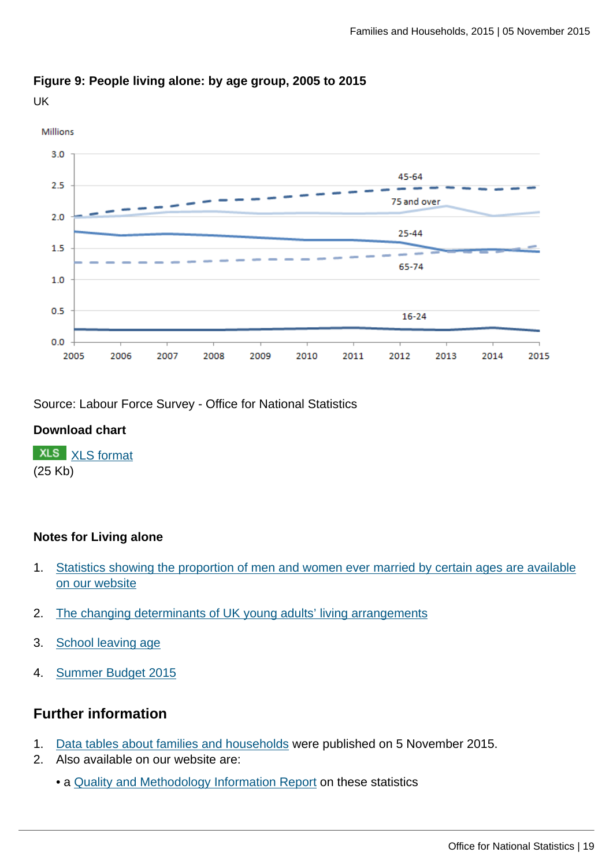2012

2013

2015

2014



2009

# **Figure 9: People living alone: by age group, 2005 to 2015**

UK

Source: Labour Force Survey - Office for National Statistics

2008

2007

### **Download chart**

 $0.0$ 

2005

2006

**XLS** [XLS format](http://www.ons.gov.uk:80/ons/rel/family-demography/families-and-households/2015/chd-9.xls) (25 Kb)

## **Notes for Living alone**

1. [Statistics showing the proportion of men and women ever married by certain ages are available](http://www.ons.gov.uk:80/ons/rel/vsob1/marriages-in-england-and-wales--provisional-/index.html) [on our website](http://www.ons.gov.uk:80/ons/rel/vsob1/marriages-in-england-and-wales--provisional-/index.html)

2010

2011

- 2. [The changing determinants of UK young adults' living arrangements](http://www.demographic-research.org/Volumes/Vol25/20/25-20.pdf)
- 3. [School leaving age](https://www.gov.uk/know-when-you-can-leave-school)
- 4. [Summer Budget 2015](https://www.gov.uk/government/topical-events/budget-july-2015)

## **Further information**

- 1. [Data tables about families and households](http://www.ons.gov.uk/ons/publications/re-reference-tables.html?edition=tcm%3A77-401852) were published on 5 November 2015.
- 2. Also available on our website are:
	- a [Quality and Methodology Information Report](http://www.ons.gov.uk:80/ons/guide-method/method-quality/quality/quality-information/population/index.html) on these statistics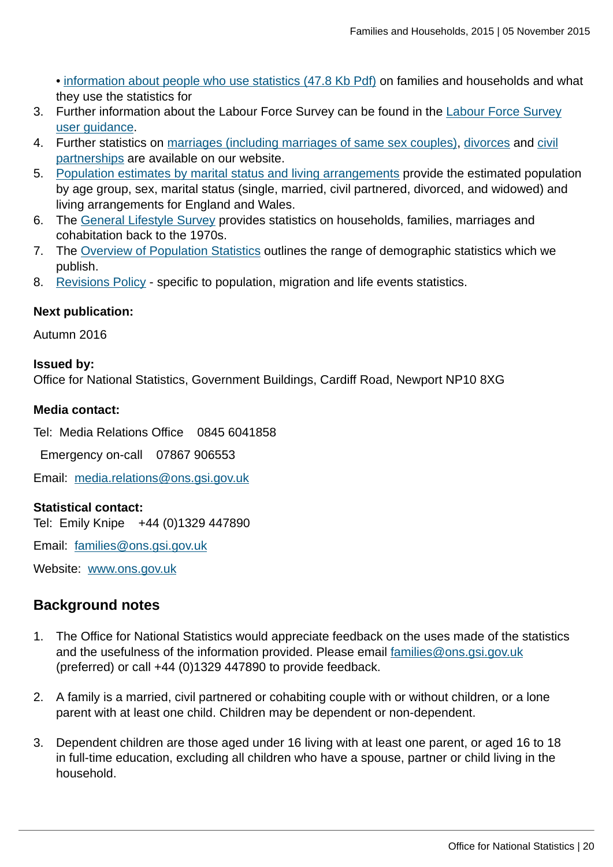• [information about people who use statistics \(47.8 Kb Pdf\)](http://www.ons.gov.uk:80/ons/rel/family-demography/families-and-households/2001-to-2010/user-experience.pdf) on families and households and what they use the statistics for

- 3. Further information about the Labour Force Survey can be found in the [Labour Force Survey](http://www.ons.gov.uk:80/ons/guide-method/method-quality/specific/labour-market/labour-market-statistics/index.html) [user guidance.](http://www.ons.gov.uk:80/ons/guide-method/method-quality/specific/labour-market/labour-market-statistics/index.html)
- 4. Further statistics on [marriages \(including marriages of same sex couples\),](http://www.ons.gov.uk/ons/taxonomy/index.html?nscl=Marriages) [divorces](http://www.ons.gov.uk/ons/taxonomy/index.html?nscl=Divorces) and [civil](http://www.ons.gov.uk/ons/taxonomy/index.html?nscl=Civil+Partnerships) [partnerships](http://www.ons.gov.uk/ons/taxonomy/index.html?nscl=Civil+Partnerships) are available on our website.
- 5. [Population estimates by marital status and living arrangements](http://www.ons.gov.uk:80/ons/rel/family-demography/population-estimates-by-marital-status-and-living-arrangements/index.html) provide the estimated population by age group, sex, marital status (single, married, civil partnered, divorced, and widowed) and living arrangements for England and Wales.
- 6. The [General Lifestyle Survey](http://www.ons.gov.uk/ons/publications/all-releases.html?definition=tcm%3A77-29429) provides statistics on households, families, marriages and cohabitation back to the 1970s.
- 7. The [Overview of Population Statistics](http://www.ons.gov.uk:80/ons/guide-method/method-quality/specific/population-and-migration/an-overview-of-ons-s-population-statistics/index.html) outlines the range of demographic statistics which we publish.
- 8. [Revisions Policy](http://www.ons.gov.uk:80/ons/guide-method/revisions/revisions-policies-by-theme/population/index.html)  specific to population, migration and life events statistics.

### **Next publication:**

Autumn 2016

#### **Issued by:**

Office for National Statistics, Government Buildings, Cardiff Road, Newport NP10 8XG

#### **Media contact:**

Tel: Media Relations Office 0845 6041858

Emergency on-call 07867 906553

Email: [media.relations@ons.gsi.gov.uk](mailto:media.relations@ons.gsi.gov.uk)

#### **Statistical contact:**

Tel: Emily Knipe +44 (0)1329 447890

Email: [families@ons.gsi.gov.uk](mailto:families@ons.gsi.gov.uk)

Website: [www.ons.gov.uk](http://www.ons.gov.uk)

## **Background notes**

- 1. The Office for National Statistics would appreciate feedback on the uses made of the statistics and the usefulness of the information provided. Please email [families@ons.gsi.gov.uk](mailto:families@ons.gsi.gov.uk) (preferred) or call +44 (0)1329 447890 to provide feedback.
- 2. A family is a married, civil partnered or cohabiting couple with or without children, or a lone parent with at least one child. Children may be dependent or non-dependent.
- 3. Dependent children are those aged under 16 living with at least one parent, or aged 16 to 18 in full-time education, excluding all children who have a spouse, partner or child living in the household.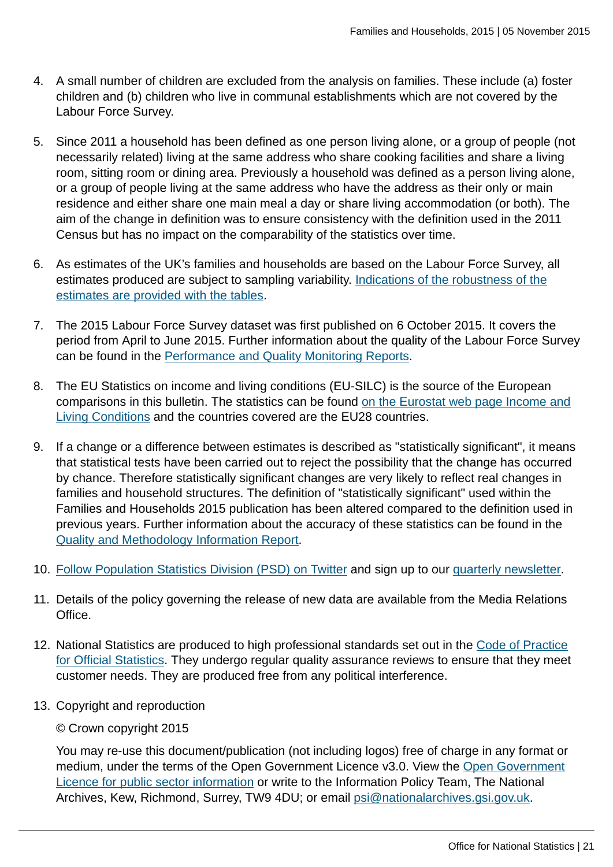- 4. A small number of children are excluded from the analysis on families. These include (a) foster children and (b) children who live in communal establishments which are not covered by the Labour Force Survey.
- 5. Since 2011 a household has been defined as one person living alone, or a group of people (not necessarily related) living at the same address who share cooking facilities and share a living room, sitting room or dining area. Previously a household was defined as a person living alone, or a group of people living at the same address who have the address as their only or main residence and either share one main meal a day or share living accommodation (or both). The aim of the change in definition was to ensure consistency with the definition used in the 2011 Census but has no impact on the comparability of the statistics over time.
- 6. As estimates of the UK's families and households are based on the Labour Force Survey, all estimates produced are subject to sampling variability. [Indications of the robustness of the](http://www.ons.gov.uk/ons/publications/re-reference-tables.html?edition=tcm%3A77-401852) [estimates are provided with the tables.](http://www.ons.gov.uk/ons/publications/re-reference-tables.html?edition=tcm%3A77-401852)
- 7. The 2015 Labour Force Survey dataset was first published on 6 October 2015. It covers the period from April to June 2015. Further information about the quality of the Labour Force Survey can be found in the [Performance and Quality Monitoring Reports](http://www.ons.gov.uk:80/ons/guide-method/method-quality/specific/labour-market/labour-force-survey/index.html).
- 8. The EU Statistics on income and living conditions (EU-SILC) is the source of the European comparisons in this bulletin. The statistics can be found [on the Eurostat web page Income and](http://ec.europa.eu/eurostat/web/income-and-living-conditions/overview) [Living Conditions](http://ec.europa.eu/eurostat/web/income-and-living-conditions/overview) and the countries covered are the EU28 countries.
- 9. If a change or a difference between estimates is described as "statistically significant", it means that statistical tests have been carried out to reject the possibility that the change has occurred by chance. Therefore statistically significant changes are very likely to reflect real changes in families and household structures. The definition of "statistically significant" used within the Families and Households 2015 publication has been altered compared to the definition used in previous years. Further information about the accuracy of these statistics can be found in the [Quality and Methodology Information Report.](http://www.ons.gov.uk:80/ons/guide-method/method-quality/quality/quality-information/population/index.html)
- 10. [Follow Population Statistics Division \(PSD\) on Twitter](https://mobile.twitter.com/PaulVickers_ONS?p=s) and sign up to our [quarterly newsletter](http://www.ons.gov.uk:80/ons/guide-method/method-quality/specific/population-and-migration/an-overview-of-ons-s-population-statistics/psd-publications-news/index.html).
- 11. Details of the policy governing the release of new data are available from the Media Relations Office.
- 12. National Statistics are produced to high professional standards set out in the [Code of Practice](http://www.ons.gov.uk:80/ons/guide-method/the-national-statistics-standard/code-of-practice/index.html) [for Official Statistics](http://www.ons.gov.uk:80/ons/guide-method/the-national-statistics-standard/code-of-practice/index.html). They undergo regular quality assurance reviews to ensure that they meet customer needs. They are produced free from any political interference.
- 13. Copyright and reproduction

## © Crown copyright 2015

You may re-use this document/publication (not including logos) free of charge in any format or medium, under the terms of the Open Government Licence v3.0. View the [Open Government](http://www.nationalarchives.gov.uk/doc/open-government-licence) [Licence for public sector information](http://www.nationalarchives.gov.uk/doc/open-government-licence) or write to the Information Policy Team, The National Archives, Kew, Richmond, Surrey, TW9 4DU; or email [psi@nationalarchives.gsi.gov.uk](mailto:psi@nationalarchives.gsi.gov.uk).